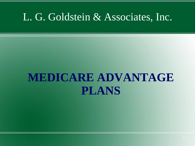#### L. G. Goldstein & Associates, Inc.

# **MEDICARE ADVANTAGE PLANS**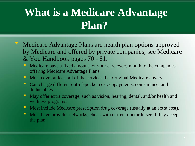### **What is a Medicare Advantage Plan?**

- **E** Medicare Advantage Plans are health plan options approved by Medicare and offered by private companies, see Medicare & You Handbook pages 70 - 81:
	- Medicare pays a fixed amount for your care every month to the companies offering Medicare Advantage Plans.
	- **Must cover at least all of the services that Original Medicare covers.**
	- Can charge different out-of-pocket cost, copayments, coinsurance, and deductables.
	- May offer extra coverage, such as vision, hearing, dental, and/or health and wellness programs.
	- Most include Medicare prescription drug coverage (usually at an extra cost).
	- Most have provider networks, check with current doctor to see if they accept the plan.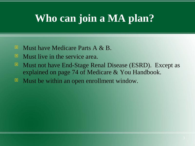### **Who can join a MA plan?**

- $\blacksquare$  Must have Medicare Parts A & B.
- $\blacksquare$  Must live in the service area.
- **E** Must not have End-Stage Renal Disease (ESRD). Except as explained on page 74 of Medicare & You Handbook.
- $\blacksquare$  Must be within an open enrollment window.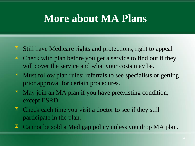#### **More about MA Plans**

- Still have Medicare rights and protections, right to appeal
- $\Box$  Check with plan before you get a service to find out if they will cover the service and what your costs may be.
- $\blacksquare$  Must follow plan rules: referrals to see specialists or getting prior approval for certain procedures.
- $\blacksquare$  May join an MA plan if you have preexisting condition, except ESRD.
- $\Box$  Check each time you visit a doctor to see if they still participate in the plan.
- Cannot be sold a Medigap policy unless you drop MA plan.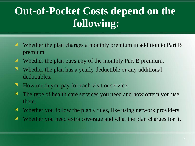### **Out-of-Pocket Costs depend on the following:**

- $\blacksquare$  Whether the plan charges a monthly premium in addition to Part B premium.
- Whether the plan pays any of the monthly Part B premium.
- Whether the plan has a yearly deductible or any additional deductibles.
- $\Box$  How much you pay for each visit or service.
- $\blacksquare$  The type of health care services you need and how oftern you use them.
- $\blacksquare$  Whether you follow the plan's rules, like using network providers
- Whether you need extra coverage and what the plan charges for it.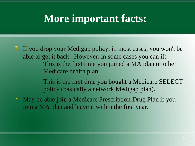#### **More important facts:**

- $\blacksquare$  If you drop your Medigap policy, in most cases, you won't be able to get it back. However, in some cases you can if:
	- This is the first time you joined a MA plan or other Medicare health plan.
	- This is the first time you bought a Medicare SELECT policy (basically a network Medigap plan).
- May be able join a Medicare Prescription Drug Plan if you join a MA plan and leave it within the first year.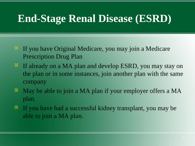#### **End-Stage Renal Disease (ESRD)**

- $\blacksquare$  If you have Original Medicare, you may join a Medicare Prescription Drug Plan
- $\blacksquare$  If already on a MA plan and develop ESRD, you may stay on the plan or in some instances, join another plan with the same company
- $\blacksquare$  May be able to join a MA plan if your employer offers a MA plan.
- $\blacksquare$  If you have had a successful kidney transplant, you may be able to join a MA plan.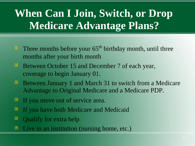### **When Can I Join, Switch, or Drop Medicare Advantage Plans?**

- Three months before your  $65<sup>th</sup>$  birthday month, until three months after your birth month
- Between October 15 and December 7 of each year, coverage to begin January 01.
- Between January 1 and March 31 to switch from a Medicare Advantage to Original Medicare and a Medicare PDP.
- $\blacksquare$  If you move out of service area.
- $\blacksquare$  If you have both Medicare and Medicaid
- Qualify for extra help
- $\blacksquare$  Live in an institution (nursing home, etc.)